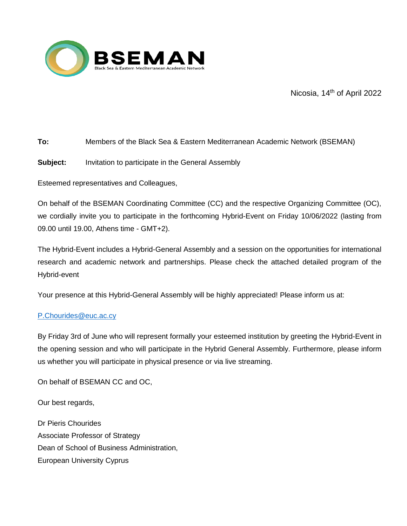

Nicosia, 14<sup>th</sup> of April 2022

# **To:** Members of the Black Sea & Eastern Mediterranean Academic Network (BSEMAN)

## **Subject:** Invitation to participate in the General Assembly

Esteemed representatives and Colleagues,

On behalf of the BSEMAN Coordinating Committee (CC) and the respective Organizing Committee (OC), we cordially invite you to participate in the forthcoming Hybrid-Event on Friday 10/06/2022 (lasting from 09.00 until 19.00, Athens time - GMT+2).

The Hybrid-Event includes a Hybrid-General Assembly and a session on the opportunities for international research and academic network and partnerships. Please check the attached detailed program of the Hybrid-event

Your presence at this Hybrid-General Assembly will be highly appreciated! Please inform us at:

### [P.Chourides@euc.ac.cy](mailto:P.Chourides@euc.ac.cy)

By Friday 3rd of June who will represent formally your esteemed institution by greeting the Hybrid-Event in the opening session and who will participate in the Hybrid General Assembly. Furthermore, please inform us whether you will participate in physical presence or via live streaming.

On behalf of BSEMAN CC and OC,

Our best regards,

Dr Pieris Chourides Associate Professor of Strategy Dean of School of Business Administration, European University Cyprus